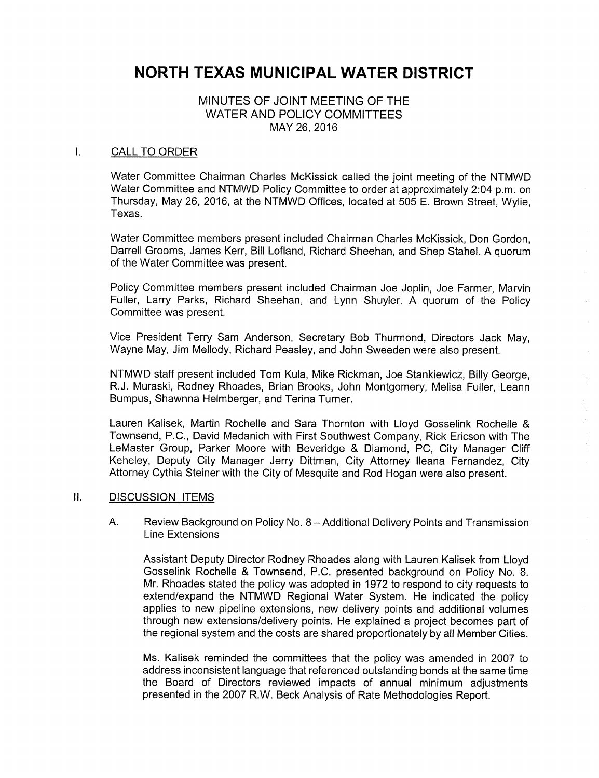# NORTH TEXAS MUNICIPAL WATER DISTRICT

## MINUTES OF JOINT MEETING OF THE WATER AND POLICY COMMITTEES MAY 26, 2016

#### $\mathbf{L}$ CALL TO ORDER

Water Committee Chairman Charles McKissick called the joint meeting of the NTMWD Water Committee and NTMWD Policy Committee to order at approximately 2:04 p.m. on Thursday, May 26, 2016, at the NTMWD Offices, located at 505 E. Brown Street, Wylie, Texas.

Water Committee members present included Chairman Charles McKissick, Don Gordon, Darrell Grooms, James Kerr, Bill Lofland, Richard Sheehan, and Shep Stahel. A quorum of the Water Committee was present.

Policy Committee members present included Chairman Joe Joplin, Joe Farmer, Marvin Fuller, Larry Parks, Richard Sheehan, and Lynn Shuyler. A quorum of the Policy Committee was present.

Vice President Terry Sam Anderson, Secretary Bob Thurmond, Directors Jack May, Wayne May, Jim Mellody, Richard Peasley, and John Sweeden were also present.

NTMWD staff present included Tom Kula, Mike Rickman, Joe Stankiewicz, Billy George, R.J. Muraski, Rodney Rhoades, Brian Brooks, John Montgomery, Melisa Fuller, Leann Bumpus, Shawnna Helmberger, and Terina Turner.

Lauren Kalisek, Martin Rochelle and Sara Thornton with Lloyd Gosselink Rochelle & Townsend, P.C., David Medanich with First Southwest Company, Rick Ericson with The LeMaster Group, Parker Moore with Beveridge & Diamond, PC, City Manager Cliff Keheley, Deputy City Manager Jerry Dittman, City Attorney Ileana Fernandez, City Attorney Cythia Steiner with the City of Mesquite and Rod Hogan were also present.

#### II. DISCUSSION ITEMS

A. Review Background on Policy No. 8 — Additional Delivery Points and Transmission Line Extensions

Assistant Deputy Director Rodney Rhoades along with Lauren Kalisek from Lloyd Gosselink Rochelle & Townsend, P.C. presented background on Policy No. 8. Mr. Rhoades stated the policy was adopted in 1972 to respond to city requests to extend/expand the NTMWD Regional Water System. He indicated the policy applies to new pipeline extensions, new delivery points and additional volumes through new extensions/delivery points. He explained a project becomes part of the regional system and the costs are shared proportionately by all Member Cities.

Ms. Kalisek reminded the committees that the policy was amended in 2007 to address inconsistent language that referenced outstanding bonds at the same time the Board of Directors reviewed impacts of annual minimum adjustments presented in the 2007 R. W. Beck Analysis of Rate Methodologies Report.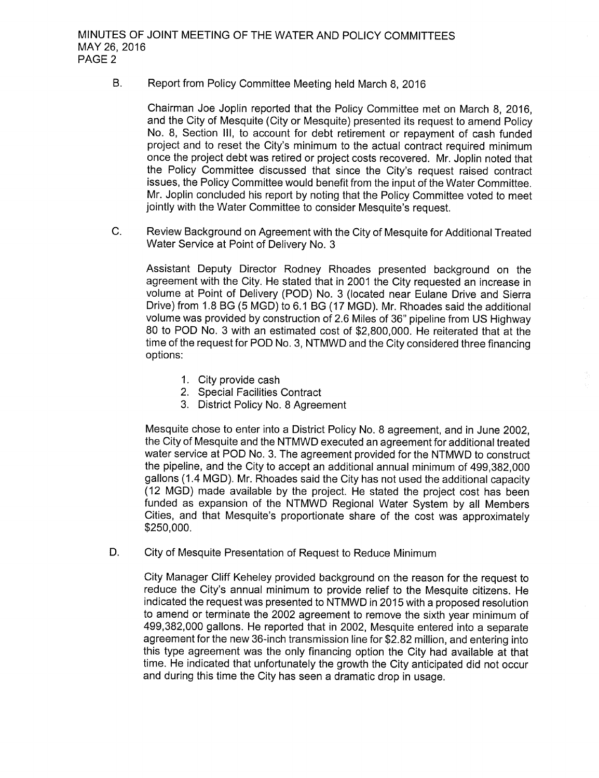B. Report from Policy Committee Meeting held March 8, 2016

Chairman Joe Joplin reported that the Policy Committee met on March 8, 2016, and the City of Mesquite (City or Mesquite) presented its request to amend Policy No. 8, Section III, to account for debt retirement or repayment of cash funded project and to reset the City's minimum to the actual contract required minimum once the project debt was retired or project costs recovered. Mr. Joplin noted that the Policy Committee discussed that since the City's request raised contract issues, the Policy Committee would benefit from the input of the Water Committee. Mr. Joplin concluded his report by noting that the Policy Committee voted to meet jointly with the Water Committee to consider Mesquite's request.

C. Review Background on Agreement with the City of Mesquite for Additional Treated Water Service at Point of Delivery No. 3

Assistant Deputy Director Rodney Rhoades presented background on the agreement with the City. He stated that in 2001 the City requested an increase in volume at Point of Delivery ( POD) No. 3 ( located near Eulane Drive and Sierra Drive) from 1.8 BG (5 MGD) to 6.1 BG (17 MGD). Mr. Rhoades said the additional volume was provided by construction of 2.6 Miles of 36" pipeline from US Highway 80 to POD No. 3 with an estimated cost of \$2,800,000. He reiterated that at the time of the request for POD No. 3, NTMWD and the City considered three financing options:

- 1. City provide cash
- 2. Special Facilities Contract
- 3. District Policy No. 8 Agreement

Mesquite chose to enter into a District Policy No. 8 agreement, and in June 2002, the City of Mesquite and the NTMWD executed an agreement for additional treated water service at POD No. 3. The agreement provided for the NTMWD to construct the pipeline, and the City to accept an additional annual minimum of 499, 382,000 gallons ( 1. <sup>4</sup> MGD). Mr. Rhoades said the City has not used the additional capacity 12 MGD) made available by the project. He stated the project cost has been funded as expansion of the NTMWD Regional Water System by all Members Cities, and that Mesquite's proportionate share of the cost was approximately 250, 000.

D. City of Mesquite Presentation of Request to Reduce Minimum

City Manager Cliff Keheley provided background on the reason for the request to reduce the City's annual minimum to provide relief to the Mesquite citizens. He indicated the request was presented to NTMWD in 2015 with a proposed resolution to amend or terminate the 2002 agreement to remove the sixth year minimum of 499, 382, 000 gallons. He reported that in 2002, Mesquite entered into a separate agreement for the new 36 -inch transmission line for \$2. 82 million, and entering into this type agreement was the only financing option the City had available at that time. He indicated that unfortunately the growth the City anticipated did not occur and during this time the City has seen a dramatic drop in usage.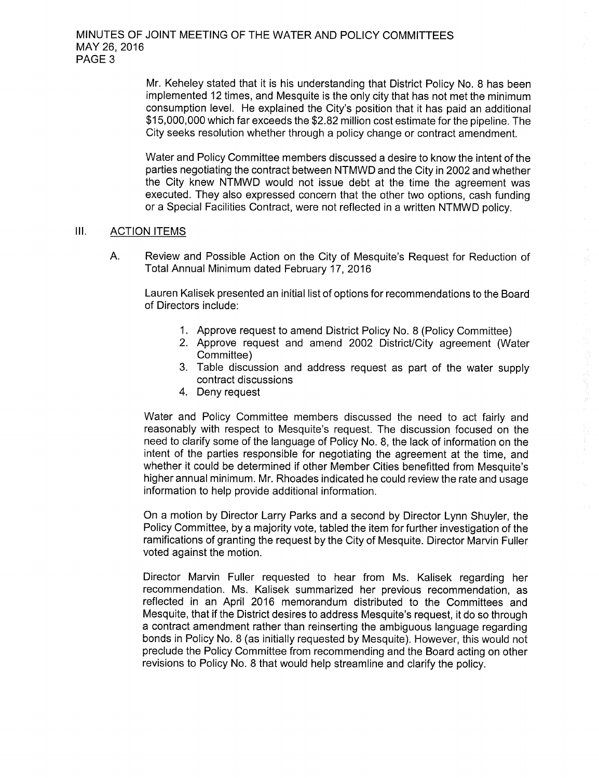Mr. Keheley stated that it is his understanding that District Policy No. 8 has been implemented 12 times, and Mesquite is the only city that has not met the minimum consumption level. He explained the City's position that it has paid an additional 15, 000,000 which far exceeds the \$2. 82 million cost estimate for the pipeline. The City seeks resolution whether through a policy change or contract amendment.

Water and Policy Committee members discussed a desire to know the intent of the parties negotiating the contract between NTMWD and the City in 2002 and whether the City knew NTMWD would not issue debt at the time the agreement was executed. They also expressed concern that the other two options, cash funding or a Special Facilities Contract, were not reflected in a written NTMWD policy.

#### III. ACTION ITEMS

A. Review and Possible Action on the City of Mesquite's Request for Reduction of Total Annual Minimum dated February 17, 2016

Lauren Kalisek presented an initial list of options for recommendations to the Board of Directors include:

- 1. Approve request to amend District Policy No. 8 (Policy Committee)
- 2. Approve request and amend 2002 District/City agreement (Water Committee)
- 3. Table discussion and address request as part of the water supply contract discussions

1、 感冒 鼻塞医囊

4. Deny request

Water and Policy Committee members discussed the need to act fairly and reasonably with respect to Mesquite's request. The discussion focused on the need to clarify some of the language of Policy No. 8, the lack of information on the intent of the parties responsible for negotiating the agreement at the time, and whether it could be determined if other Member Cities benefitted from Mesquite's higher annual minimum. Mr. Rhoades indicated he could review the rate and usage information to help provide additional information.

On a motion by Director Larry Parks and a second by Director Lynn Shuyler, the Policy Committee, by a majority vote, tabled the item for further investigation of the ramifications of granting the request by the City of Mesquite. Director Marvin Fuller voted against the motion.

Director Marvin Fuller requested to hear from Ms. Kalisek regarding her recommendation. Ms. Kalisek summarized her previous recommendation, as reflected in an April 2016 memorandum distributed to the Committees and Mesquite, that if the District desires to address Mesquite's request, it do so through a contract amendment rather than reinserting the ambiguous language regarding bonds in Policy No. 8 ( as initially requested by Mesquite). However, this would not preclude the Policy Committee from recommending and the Board acting on other revisions to Policy No. 8 that would help streamline and clarify the policy.